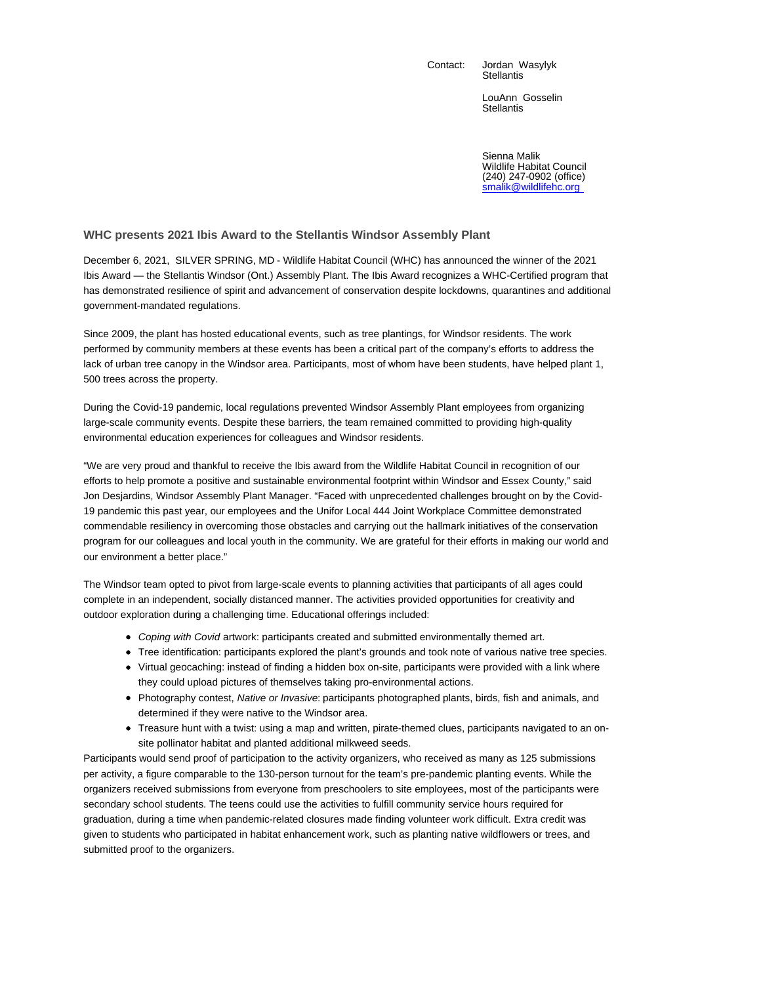Contact: Jordan Wasylyk **Stellantis** 

> LouAnn Gosselin **Stellantis**

Sienna Malik Wildlife Habitat Council (240) 247-0902 (office) smalik@wildlifehc.org

## **WHC presents 2021 Ibis Award to the Stellantis Windsor Assembly Plant**

December 6, 2021, SILVER SPRING, MD - Wildlife Habitat Council (WHC) has announced the winner of the 2021 Ibis Award — the Stellantis Windsor (Ont.) Assembly Plant. The Ibis Award recognizes a WHC-Certified program that has demonstrated resilience of spirit and advancement of conservation despite lockdowns, quarantines and additional government-mandated regulations.

Since 2009, the plant has hosted educational events, such as tree plantings, for Windsor residents. The work performed by community members at these events has been a critical part of the company's efforts to address the lack of urban tree canopy in the Windsor area. Participants, most of whom have been students, have helped plant 1, 500 trees across the property.

During the Covid-19 pandemic, local regulations prevented Windsor Assembly Plant employees from organizing large-scale community events. Despite these barriers, the team remained committed to providing high-quality environmental education experiences for colleagues and Windsor residents.

"We are very proud and thankful to receive the Ibis award from the Wildlife Habitat Council in recognition of our efforts to help promote a positive and sustainable environmental footprint within Windsor and Essex County," said Jon Desjardins, Windsor Assembly Plant Manager. "Faced with unprecedented challenges brought on by the Covid-19 pandemic this past year, our employees and the Unifor Local 444 Joint Workplace Committee demonstrated commendable resiliency in overcoming those obstacles and carrying out the hallmark initiatives of the conservation program for our colleagues and local youth in the community. We are grateful for their efforts in making our world and our environment a better place."

The Windsor team opted to pivot from large-scale events to planning activities that participants of all ages could complete in an independent, socially distanced manner. The activities provided opportunities for creativity and outdoor exploration during a challenging time. Educational offerings included:

- Coping with Covid artwork: participants created and submitted environmentally themed art.
- Tree identification: participants explored the plant's grounds and took note of various native tree species.
- Virtual geocaching: instead of finding a hidden box on-site, participants were provided with a link where they could upload pictures of themselves taking pro-environmental actions.
- Photography contest, Native or Invasive: participants photographed plants, birds, fish and animals, and determined if they were native to the Windsor area.
- Treasure hunt with a twist: using a map and written, pirate-themed clues, participants navigated to an onsite pollinator habitat and planted additional milkweed seeds.

Participants would send proof of participation to the activity organizers, who received as many as 125 submissions per activity, a figure comparable to the 130-person turnout for the team's pre-pandemic planting events. While the organizers received submissions from everyone from preschoolers to site employees, most of the participants were secondary school students. The teens could use the activities to fulfill community service hours required for graduation, during a time when pandemic-related closures made finding volunteer work difficult. Extra credit was given to students who participated in habitat enhancement work, such as planting native wildflowers or trees, and submitted proof to the organizers.